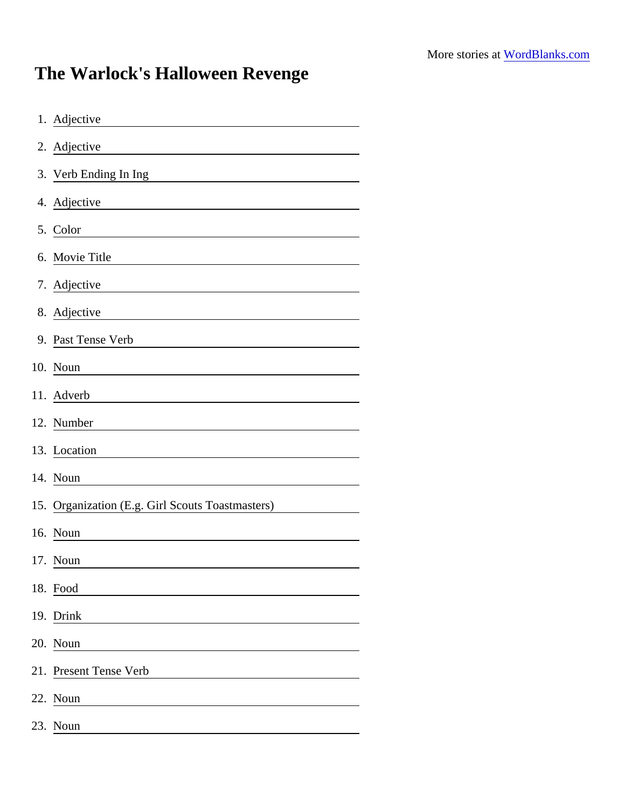## The Warlock's Halloween Revenge

| 1. Adjective                                     |
|--------------------------------------------------|
| 2. Adjective                                     |
| 3. Verb Ending In Ing                            |
| 4. Adjective                                     |
| 5. Color                                         |
| 6. Movie Title                                   |
| 7. Adjective                                     |
| 8. Adjective                                     |
| 9. Past Tense Verb                               |
| 10. Noun                                         |
| 11. Adverb                                       |
| 12. Number                                       |
| 13. Location                                     |
| 14. Noun                                         |
| 15. Organization (E.g. Girl Scouts Toastmasters) |
| 16. Noun                                         |
| 17. Noun                                         |
| 18. Food                                         |
| 19. Drink                                        |
| 20. Noun                                         |
| 21. Present Tense Verb                           |
| 22. Noun                                         |
| 23. Noun                                         |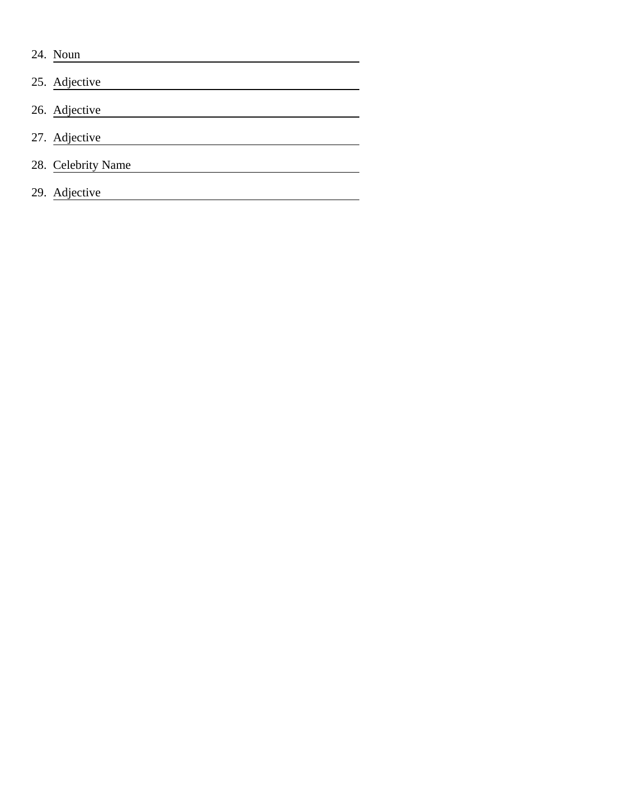24. Noun 25. Adjective 26. Adjective <u> 1980 - Johann Barn, mars ann an t-Amhain Aonaich an t-Aonaich an t-Aonaich ann an t-Aonaich ann an t-Aonaich</u> 27. Adjective <u> 1980 - Johann Barbara, martxa amerikan personal (h. 1980).</u> 28. Celebrity Name 29. Adjective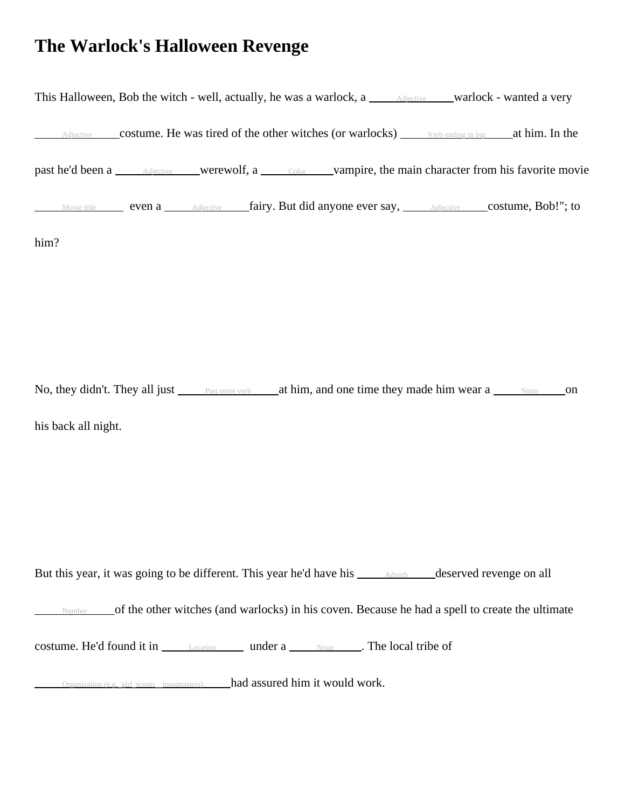## **The Warlock's Halloween Revenge**



No, they didn't. They all just <u>Past tense verb</u> at him, and one time they made him wear a Noun on his back all night.

But this year, it was going to be different. This year he'd have his <u>Adverb deserved revenge on all</u>

Number of the other witches (and warlocks) in his coven. Because he had a spell to create the ultimate

costume. He'd found it in Location under a Noun . The local tribe of

 $\alpha$  Organization (e.g. girl\_scouts\_toastmasters) had assured him it would work.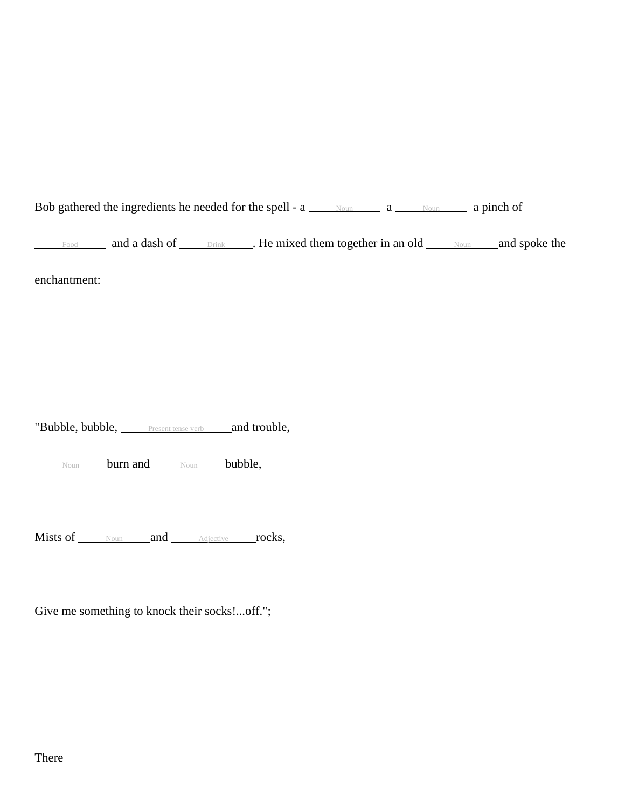Bob gathered the ingredients he needed for the spell -  $a \_\_\_\_\_\_\_\_\_\_a \_\_\_\_\_\_\_a$  pinch of

Food and a dash of <u>Drink</u> . He mixed them together in an old Noun and spoke the

enchantment:

"Bubble, bubble, **Present tense verb** and trouble,

Noun **burn and** Noun **bubble**,

Mists of Noun and Adjective rocks,

Give me something to knock their socks!...off.";